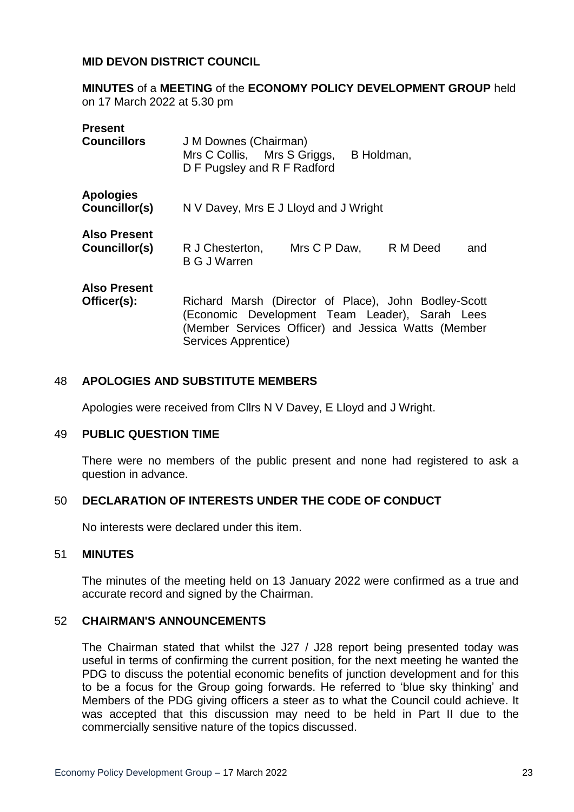### **MID DEVON DISTRICT COUNCIL**

**MINUTES** of a **MEETING** of the **ECONOMY POLICY DEVELOPMENT GROUP** held on 17 March 2022 at 5.30 pm

| <b>Present</b><br><b>Councillors</b> | J M Downes (Chairman)<br>Mrs C Collis, Mrs S Griggs,<br>B Holdman,<br>D F Pugsley and R F Radford                                                                                     |
|--------------------------------------|---------------------------------------------------------------------------------------------------------------------------------------------------------------------------------------|
| <b>Apologies</b><br>Councillor(s)    | N V Davey, Mrs E J Lloyd and J Wright                                                                                                                                                 |
| <b>Also Present</b><br>Councillor(s) | R J Chesterton,<br>Mrs C P Daw,<br>R M Deed<br>and<br><b>B G J Warren</b>                                                                                                             |
| <b>Also Present</b><br>Officer(s):   | Richard Marsh (Director of Place), John Bodley-Scott<br>(Economic Development Team Leader), Sarah Lees<br>(Member Services Officer) and Jessica Watts (Member<br>Services Apprentice) |

## 48 **APOLOGIES AND SUBSTITUTE MEMBERS**

Apologies were received from Cllrs N V Davey, E Lloyd and J Wright.

### 49 **PUBLIC QUESTION TIME**

There were no members of the public present and none had registered to ask a question in advance.

### 50 **DECLARATION OF INTERESTS UNDER THE CODE OF CONDUCT**

No interests were declared under this item.

### 51 **MINUTES**

The minutes of the meeting held on 13 January 2022 were confirmed as a true and accurate record and signed by the Chairman.

### 52 **CHAIRMAN'S ANNOUNCEMENTS**

The Chairman stated that whilst the J27 / J28 report being presented today was useful in terms of confirming the current position, for the next meeting he wanted the PDG to discuss the potential economic benefits of junction development and for this to be a focus for the Group going forwards. He referred to 'blue sky thinking' and Members of the PDG giving officers a steer as to what the Council could achieve. It was accepted that this discussion may need to be held in Part II due to the commercially sensitive nature of the topics discussed.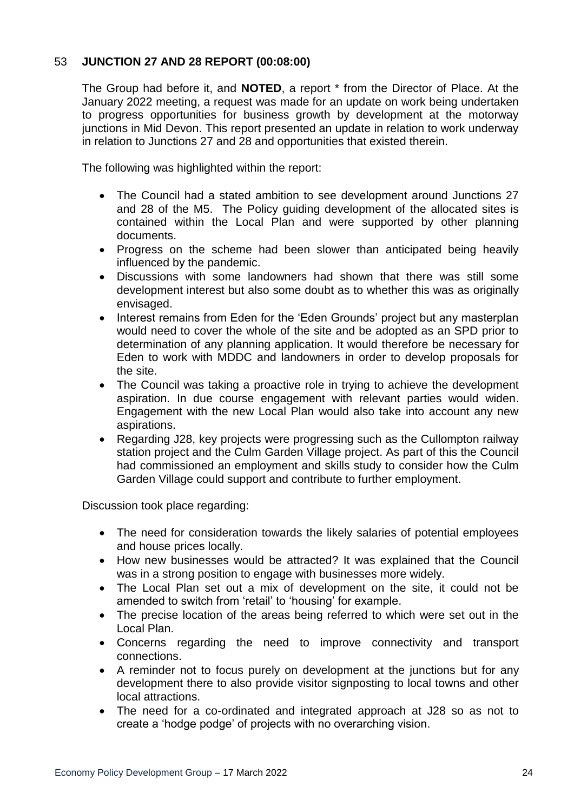# 53 **JUNCTION 27 AND 28 REPORT (00:08:00)**

The Group had before it, and **NOTED**, a report \* from the Director of Place. At the January 2022 meeting, a request was made for an update on work being undertaken to progress opportunities for business growth by development at the motorway junctions in Mid Devon. This report presented an update in relation to work underway in relation to Junctions 27 and 28 and opportunities that existed therein.

The following was highlighted within the report:

- The Council had a stated ambition to see development around Junctions 27 and 28 of the M5. The Policy guiding development of the allocated sites is contained within the Local Plan and were supported by other planning documents.
- Progress on the scheme had been slower than anticipated being heavily influenced by the pandemic.
- Discussions with some landowners had shown that there was still some development interest but also some doubt as to whether this was as originally envisaged.
- Interest remains from Eden for the 'Eden Grounds' project but any masterplan would need to cover the whole of the site and be adopted as an SPD prior to determination of any planning application. It would therefore be necessary for Eden to work with MDDC and landowners in order to develop proposals for the site.
- The Council was taking a proactive role in trying to achieve the development aspiration. In due course engagement with relevant parties would widen. Engagement with the new Local Plan would also take into account any new aspirations.
- Regarding J28, key projects were progressing such as the Cullompton railway station project and the Culm Garden Village project. As part of this the Council had commissioned an employment and skills study to consider how the Culm Garden Village could support and contribute to further employment.

Discussion took place regarding:

- The need for consideration towards the likely salaries of potential employees and house prices locally.
- How new businesses would be attracted? It was explained that the Council was in a strong position to engage with businesses more widely.
- The Local Plan set out a mix of development on the site, it could not be amended to switch from 'retail' to 'housing' for example.
- The precise location of the areas being referred to which were set out in the Local Plan.
- Concerns regarding the need to improve connectivity and transport connections.
- A reminder not to focus purely on development at the junctions but for any development there to also provide visitor signposting to local towns and other local attractions.
- The need for a co-ordinated and integrated approach at J28 so as not to create a 'hodge podge' of projects with no overarching vision.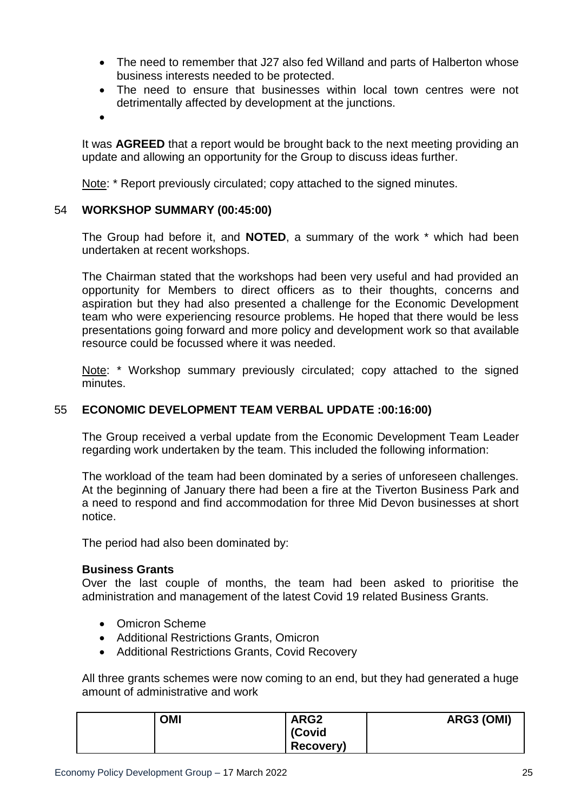- The need to remember that J27 also fed Willand and parts of Halberton whose business interests needed to be protected.
- The need to ensure that businesses within local town centres were not detrimentally affected by development at the junctions.
- $\bullet$

It was **AGREED** that a report would be brought back to the next meeting providing an update and allowing an opportunity for the Group to discuss ideas further.

Note: \* Report previously circulated; copy attached to the signed minutes.

## 54 **WORKSHOP SUMMARY (00:45:00)**

The Group had before it, and **NOTED**, a summary of the work \* which had been undertaken at recent workshops.

The Chairman stated that the workshops had been very useful and had provided an opportunity for Members to direct officers as to their thoughts, concerns and aspiration but they had also presented a challenge for the Economic Development team who were experiencing resource problems. He hoped that there would be less presentations going forward and more policy and development work so that available resource could be focussed where it was needed.

Note: \* Workshop summary previously circulated; copy attached to the signed minutes.

# 55 **ECONOMIC DEVELOPMENT TEAM VERBAL UPDATE :00:16:00)**

The Group received a verbal update from the Economic Development Team Leader regarding work undertaken by the team. This included the following information:

The workload of the team had been dominated by a series of unforeseen challenges. At the beginning of January there had been a fire at the Tiverton Business Park and a need to respond and find accommodation for three Mid Devon businesses at short notice.

The period had also been dominated by:

## **Business Grants**

Over the last couple of months, the team had been asked to prioritise the administration and management of the latest Covid 19 related Business Grants.

- Omicron Scheme
- Additional Restrictions Grants, Omicron
- Additional Restrictions Grants, Covid Recovery

All three grants schemes were now coming to an end, but they had generated a huge amount of administrative and work

| OMI | ARG <sub>2</sub> | ARG3 (OMI) |
|-----|------------------|------------|
|     | (Covid           |            |
|     | Recovery)        |            |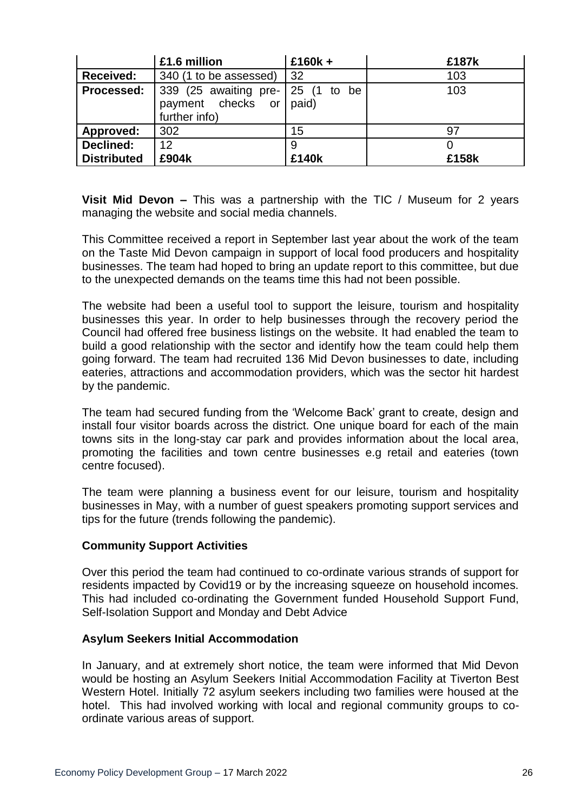|                    | £1.6 million                                                      | $£160k +$   | £187k |
|--------------------|-------------------------------------------------------------------|-------------|-------|
| <b>Received:</b>   | 340 (1 to be assessed)                                            | -32         | 103   |
| Processed:         | 339 (25 awaiting pre-<br>payment checks or paid)<br>further info) | 25 (1 to be | 103   |
| Approved:          | 302                                                               | 15          | 97    |
| Declined:          | 12                                                                | 9           |       |
| <b>Distributed</b> | £904k                                                             | £140k       | £158k |

**Visit Mid Devon –** This was a partnership with the TIC / Museum for 2 years managing the website and social media channels.

This Committee received a report in September last year about the work of the team on the Taste Mid Devon campaign in support of local food producers and hospitality businesses. The team had hoped to bring an update report to this committee, but due to the unexpected demands on the teams time this had not been possible.

The website had been a useful tool to support the leisure, tourism and hospitality businesses this year. In order to help businesses through the recovery period the Council had offered free business listings on the website. It had enabled the team to build a good relationship with the sector and identify how the team could help them going forward. The team had recruited 136 Mid Devon businesses to date, including eateries, attractions and accommodation providers, which was the sector hit hardest by the pandemic.

The team had secured funding from the 'Welcome Back' grant to create, design and install four visitor boards across the district. One unique board for each of the main towns sits in the long-stay car park and provides information about the local area, promoting the facilities and town centre businesses e.g retail and eateries (town centre focused).

The team were planning a business event for our leisure, tourism and hospitality businesses in May, with a number of guest speakers promoting support services and tips for the future (trends following the pandemic).

## **Community Support Activities**

Over this period the team had continued to co-ordinate various strands of support for residents impacted by Covid19 or by the increasing squeeze on household incomes. This had included co-ordinating the Government funded Household Support Fund, Self-Isolation Support and Monday and Debt Advice

## **Asylum Seekers Initial Accommodation**

In January, and at extremely short notice, the team were informed that Mid Devon would be hosting an Asylum Seekers Initial Accommodation Facility at Tiverton Best Western Hotel. Initially 72 asylum seekers including two families were housed at the hotel. This had involved working with local and regional community groups to coordinate various areas of support.